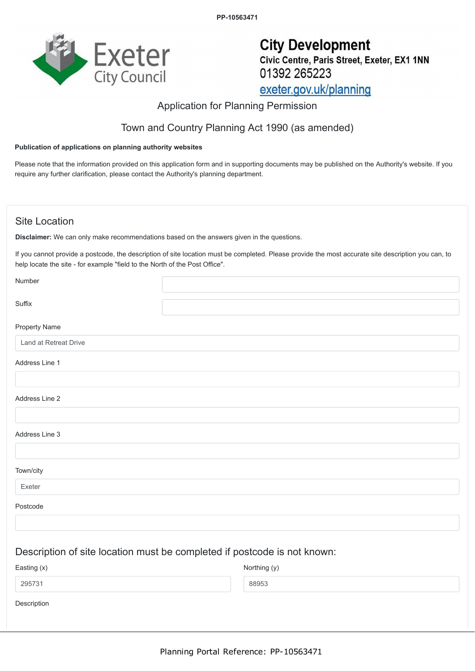**PP-10563471**



# **City Development** Civic Centre, Paris Street, Exeter, EX1 1NN 01392 265223 exeter.gov.uk/planning

# Application for Planning Permission

# Town and Country Planning Act 1990 (as amended)

#### **Publication of applications on planning authority websites**

Please note that the information provided on this application form and in supporting documents may be published on the Authority's website. If you require any further clarification, please contact the Authority's planning department.

### Site Location

**Disclaimer:** We can only make recommendations based on the answers given in the questions.

If you cannot provide a postcode, the description of site location must be completed. Please provide the most accurate site description you can, to help locate the site - for example "field to the North of the Post Office".

| Number                |                                                                          |
|-----------------------|--------------------------------------------------------------------------|
| Suffix                |                                                                          |
| <b>Property Name</b>  |                                                                          |
| Land at Retreat Drive |                                                                          |
| Address Line 1        |                                                                          |
|                       |                                                                          |
| Address Line 2        |                                                                          |
|                       |                                                                          |
| Address Line 3        |                                                                          |
|                       |                                                                          |
| Town/city             |                                                                          |
| Exeter                |                                                                          |
| Postcode              |                                                                          |
|                       |                                                                          |
|                       | Description of site location must be completed if postcode is not known: |
| Easting (x)           | Northing (y)                                                             |
| 295731                | 88953                                                                    |

Description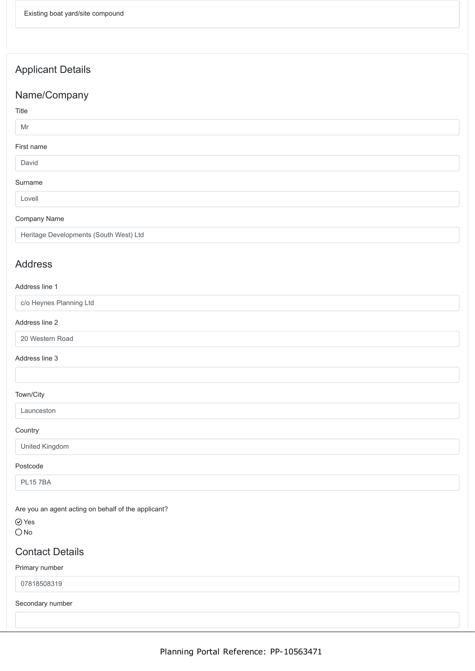# Applicant Details

### Name/Company

### Title

#### Mr

#### First name

#### David

#### Surname

Lovell

#### Company Name

Heritage Developments (South West) Ltd

### Address

#### Address line 1

c/o Heynes Planning Ltd

#### Address line 2

20 Western Road

#### Address line 3

#### Town/City

Launceston

#### **Country**

United Kingdom

#### Postcode

PL15 7BA

Are you an agent acting on behalf of the applicant?

Yes  $O$ No

### Contact Details

#### Primary number

07818508319

Secondary number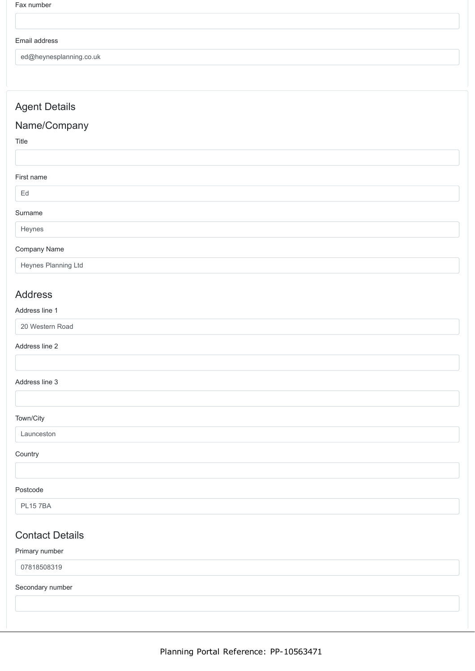#### Email address

ed@heynesplanning.co.uk

### Agent Details

### Name/Company

Title

#### First name

Ed

# Surname

Heynes

#### Company Name

Heynes Planning Ltd

### Address

#### Address line 1

20 Western Road

#### Address line 2

#### Address line 3

#### Town/City

Launceston

#### **Country**

#### Postcode

PL15 7BA

### Contact Details

#### Primary number

07818508319

#### Secondary number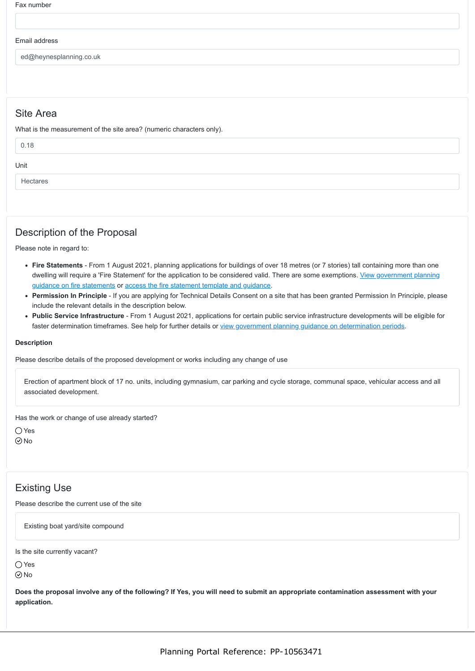Fax number

#### Email address

ed@heynesplanning.co.uk

### Site Area

What is the measurement of the site area? (numeric characters only).

| 0.18     |  |
|----------|--|
| Unit     |  |
| Hectares |  |

### Description of the Proposal

Please note in regard to:

- **Fire Statements** From 1 August 2021, planning applications for buildings of over 18 metres (or 7 stories) tall containing more than one [dwelling will require a 'Fire Statement' for the application to be considered valid. There are some exemptions. View government planning](https://www.gov.uk/guidance/fire-safety-and-high-rise-residential-buildings-from-1-august-2021) guidance on fire statements or [access the fire statement template and guidance](https://www.gov.uk/government/publications/planning-application-forms-templates-for-local-planning-authorities#attachment_5328788).
- **Permission In Principle** If you are applying for Technical Details Consent on a site that has been granted Permission In Principle, please include the relevant details in the description below.
- **Public Service Infrastructure** From 1 August 2021, applications for certain public service infrastructure developments will be eligible for faster determination timeframes. See help for further details or [view government planning guidance on determination periods](https://www.gov.uk/guidance/determining-a-planning-application#what-are-the-time-periods-for-determining-a-planning-application).

#### **Description**

Please describe details of the proposed development or works including any change of use

Erection of apartment block of 17 no. units, including gymnasium, car parking and cycle storage, communal space, vehicular access and all associated development.

Has the work or change of use already started?

Yes  $\odot$ No

# Existing Use

Please describe the current use of the site

Existing boat yard/site compound

Is the site currently vacant?

 $\bigcirc$  Yes  $\odot$ No

**Does the proposal involve any of the following? If Yes, you will need to submit an appropriate contamination assessment with your application.**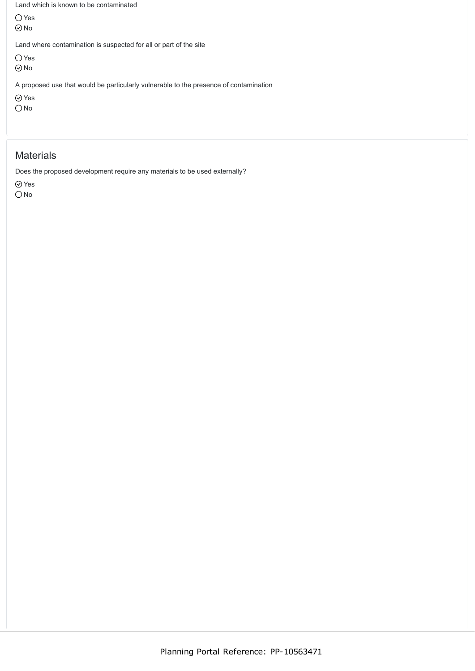Land which is known to be contaminated

O Yes  $\odot$ No

Land where contamination is suspected for all or part of the site

Yes

 $\odot$ No

A proposed use that would be particularly vulnerable to the presence of contamination

Yes

 $\bigcirc$  No

### **Materials**

Does the proposed development require any materials to be used externally?

Yes

O<sub>No</sub>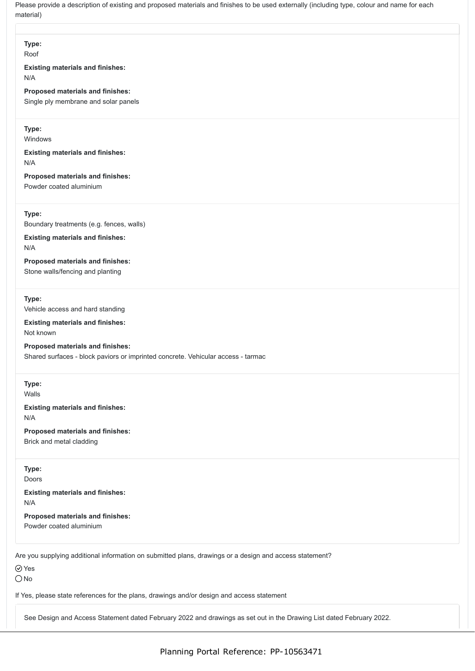Please provide a description of existing and proposed materials and finishes to be used externally (including type, colour and name for each material)

### **Type:**

Roof

#### **Existing materials and finishes:** N/A

**Proposed materials and finishes:** Single ply membrane and solar panels

### **Type:**

Windows

#### **Existing materials and finishes:** N/A

**Proposed materials and finishes:**

Powder coated aluminium

**Type:**

Boundary treatments (e.g. fences, walls)

#### **Existing materials and finishes:** N/A

**Proposed materials and finishes:** Stone walls/fencing and planting

#### **Type:**

Vehicle access and hard standing

**Existing materials and finishes:** Not known

**Proposed materials and finishes:** Shared surfaces - block paviors or imprinted concrete. Vehicular access - tarmac

**Type:**

Walls

# **Existing materials and finishes:**

N/A

### **Proposed materials and finishes:**

Brick and metal cladding

### **Type:**

Doors

### **Existing materials and finishes:** N/A

**Proposed materials and finishes:** Powder coated aluminium

Are you supplying additional information on submitted plans, drawings or a design and access statement?

Yes

 $\bigcirc$  No

If Yes, please state references for the plans, drawings and/or design and access statement

See Design and Access Statement dated February 2022 and drawings as set out in the Drawing List dated February 2022.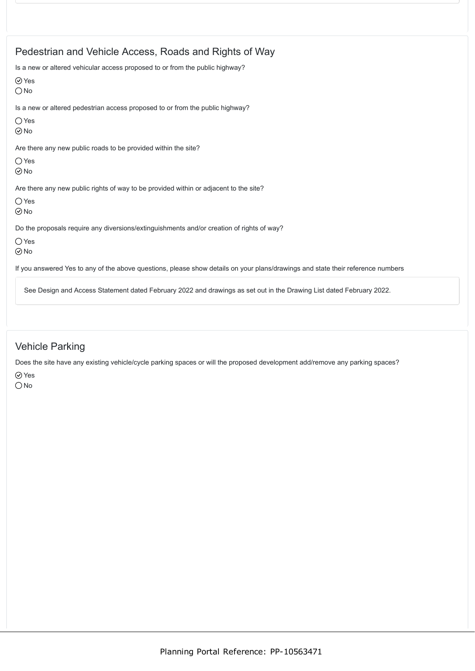| Pedestrian and Vehicle Access, Roads and Rights of Way                                                                          |
|---------------------------------------------------------------------------------------------------------------------------------|
| Is a new or altered vehicular access proposed to or from the public highway?<br>$\odot$ Yes<br>$\bigcirc$ No                    |
| Is a new or altered pedestrian access proposed to or from the public highway?                                                   |
| $\bigcirc$ Yes<br>$\odot$ No                                                                                                    |
| Are there any new public roads to be provided within the site?                                                                  |
| $\bigcirc$ Yes<br>$\odot$ No                                                                                                    |
| Are there any new public rights of way to be provided within or adjacent to the site?                                           |
| $\bigcirc$ Yes<br>$\odot$ No                                                                                                    |
| Do the proposals require any diversions/extinguishments and/or creation of rights of way?                                       |
| $\bigcirc$ Yes<br>$\odot$ No                                                                                                    |
| If you answered Yes to any of the above questions, please show details on your plans/drawings and state their reference numbers |
| See Design and Access Statement dated February 2022 and drawings as set out in the Drawing List dated February 2022.            |

Vehicle Parking

Does the site have any existing vehicle/cycle parking spaces or will the proposed development add/remove any parking spaces?

Yes  $\bigcirc$  No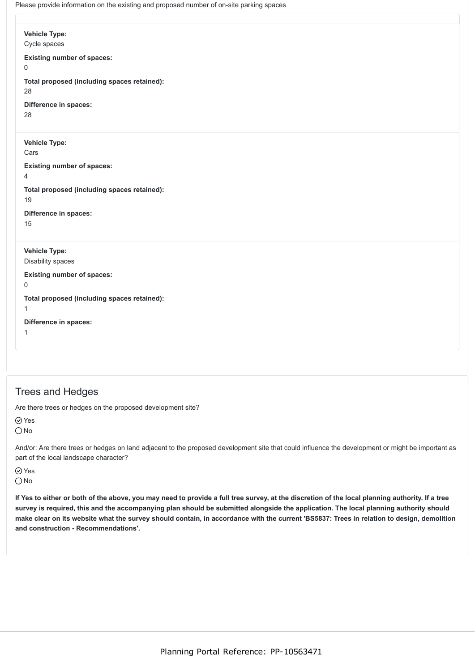Please provide information on the existing and proposed number of on-site parking spaces

**Vehicle Type:** Cycle spaces **Existing number of spaces:**  $\Omega$ **Total proposed (including spaces retained):** 28 **Difference in spaces:** 28 **Vehicle Type:** Cars **Existing number of spaces:** 4 **Total proposed (including spaces retained):** 19 **Difference in spaces:** 15 **Vehicle Type:** Disability spaces **Existing number of spaces:** 0 **Total proposed (including spaces retained):** 1 **Difference in spaces:** 1

### Trees and Hedges

Are there trees or hedges on the proposed development site?

⊙ Yes

 $\bigcirc$  No

And/or: Are there trees or hedges on land adjacent to the proposed development site that could influence the development or might be important as part of the local landscape character?

**⊘**Yes  $\bigcirc$  No

**If Yes to either or both of the above, you may need to provide a full tree survey, at the discretion of the local planning authority. If a tree survey is required, this and the accompanying plan should be submitted alongside the application. The local planning authority should make clear on its website what the survey should contain, in accordance with the current 'BS5837: Trees in relation to design, demolition and construction - Recommendations'.**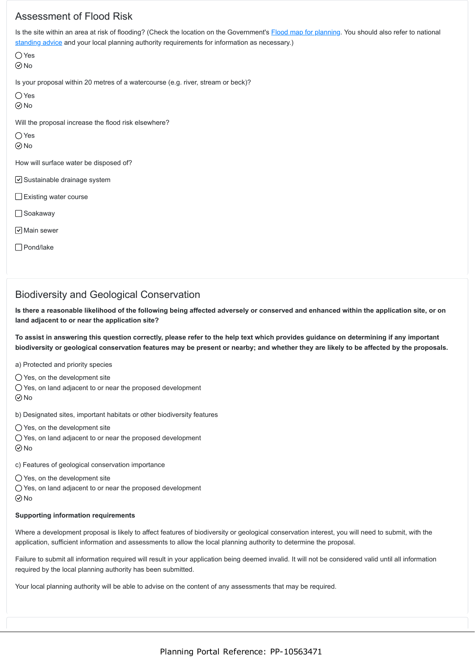# Assessment of Flood Risk

Is the site within an area at risk of flooding? (Check the location on the Government's [Flood map for planning.](https://flood-map-for-planning.service.gov.uk/) You should also refer to national [standing advice](https://www.gov.uk/guidance/flood-risk-assessment-standing-advice) and your local planning authority requirements for information as necessary.)

Yes No

Is your proposal within 20 metres of a watercourse (e.g. river, stream or beck)?

Yes

 $\odot$ No

Will the proposal increase the flood risk elsewhere?

 $\bigcirc$  Yes

 $\odot$  No

How will surface water be disposed of?

 $\nabla$  Sustainable drainage system

Existing water course

□ Soakaway

 $\nabla$  Main sewer

□ Pond/lake

### Biodiversity and Geological Conservation

**Is there a reasonable likelihood of the following being affected adversely or conserved and enhanced within the application site, or on land adjacent to or near the application site?**

**To assist in answering this question correctly, please refer to the help text which provides guidance on determining if any important biodiversity or geological conservation features may be present or nearby; and whether they are likely to be affected by the proposals.**

a) Protected and priority species

 $\bigcirc$  Yes, on the development site

 $\bigcirc$  Yes, on land adjacent to or near the proposed development

 $\odot$  No

b) Designated sites, important habitats or other biodiversity features

 $\bigcirc$  Yes, on the development site

 $\bigcirc$  Yes, on land adjacent to or near the proposed development No

c) Features of geological conservation importance

 $\bigcirc$  Yes, on the development site

Yes, on land adjacent to or near the proposed development  $\odot$  No

#### **Supporting information requirements**

Where a development proposal is likely to affect features of biodiversity or geological conservation interest, you will need to submit, with the application, sufficient information and assessments to allow the local planning authority to determine the proposal.

Failure to submit all information required will result in your application being deemed invalid. It will not be considered valid until all information required by the local planning authority has been submitted.

Your local planning authority will be able to advise on the content of any assessments that may be required.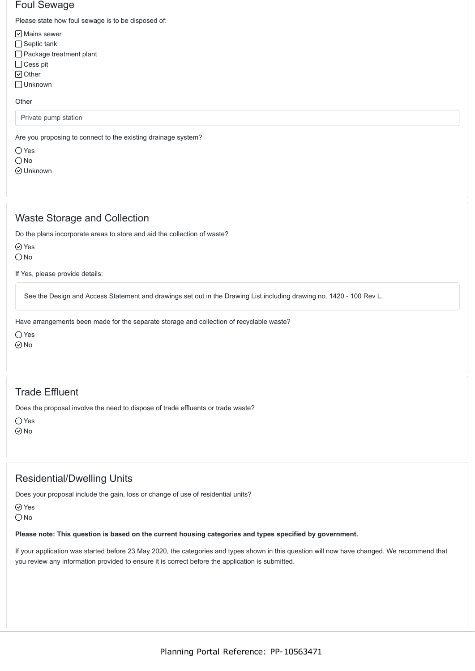### Foul Sewage

Please state how foul sewage is to be disposed of:

- $\boxed{\mathsf{v}}$  Mains sewer
- $\Box$  Septic tank
- Package treatment plant
- □ Cess pit
- Other
- Unknown

#### **Other**

Private pump station

Are you proposing to connect to the existing drainage system?

○ Yes  $\bigcirc$  No

Unknown

# Waste Storage and Collection

Do the plans incorporate areas to store and aid the collection of waste?

⊙ Yes

 $\bigcirc$  No

If Yes, please provide details:

See the Design and Access Statement and drawings set out in the Drawing List including drawing no. 1420 - 100 Rev L.

Have arrangements been made for the separate storage and collection of recyclable waste?

Yes

 $\odot$ No

# Trade Effluent

Does the proposal involve the need to dispose of trade effluents or trade waste?

Yes

No

# Residential/Dwelling Units

Does your proposal include the gain, loss or change of use of residential units?

⊙ Yes

O<sub>No</sub>

#### **Please note: This question is based on the current housing categories and types specified by government.**

If your application was started before 23 May 2020, the categories and types shown in this question will now have changed. We recommend that you review any information provided to ensure it is correct before the application is submitted.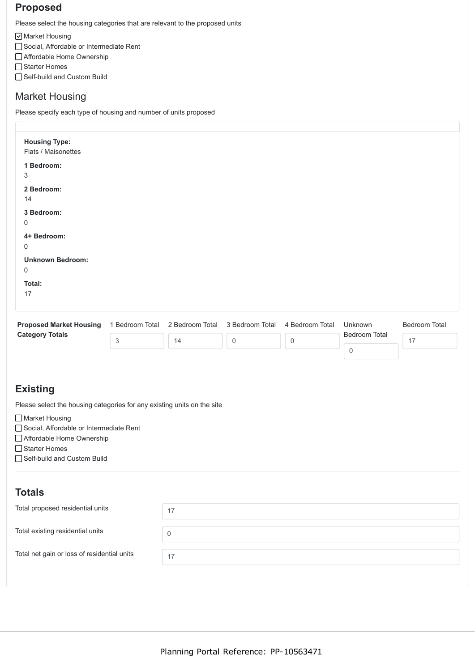# **Proposed**

Please select the housing categories that are relevant to the proposed units

**Ø** Market Housing

- Social, Affordable or Intermediate Rent
- Affordable Home Ownership
- □ Starter Homes
- □ Self-build and Custom Build

### Market Housing

Please specify each type of housing and number of units proposed

| <b>Housing Type:</b><br>Flats / Maisonettes |   |    |                                                 |                 |               |               |
|---------------------------------------------|---|----|-------------------------------------------------|-----------------|---------------|---------------|
| 1 Bedroom:<br>3                             |   |    |                                                 |                 |               |               |
| 2 Bedroom:<br>14                            |   |    |                                                 |                 |               |               |
| 3 Bedroom:<br>0                             |   |    |                                                 |                 |               |               |
| 4+ Bedroom:<br>0                            |   |    |                                                 |                 |               |               |
| <b>Unknown Bedroom:</b><br>0                |   |    |                                                 |                 |               |               |
| Total:<br>17                                |   |    |                                                 |                 |               |               |
| <b>Proposed Market Housing</b>              |   |    | 1 Bedroom Total 2 Bedroom Total 3 Bedroom Total | 4 Bedroom Total | Unknown       | Bedroom Total |
| <b>Category Totals</b>                      | 3 | 14 | $\overline{0}$                                  | $\mathbf 0$     | Bedroom Total | 17            |

0

# **Existing**

Please select the housing categories for any existing units on the site

□ Market Housing

- □ Social, Affordable or Intermediate Rent
- Affordable Home Ownership

□ Starter Homes

□Self-build and Custom Build

# **Totals**

| Total proposed residential units            | 17 |
|---------------------------------------------|----|
| Total existing residential units            |    |
| Total net gain or loss of residential units | 17 |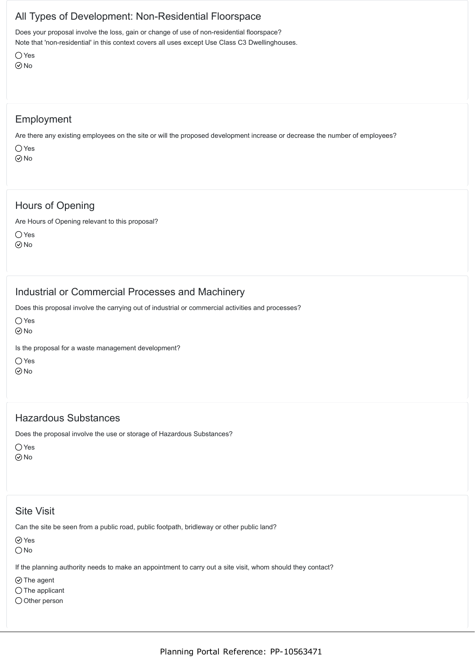# All Types of Development: Non-Residential Floorspace

Does your proposal involve the loss, gain or change of use of non-residential floorspace? Note that 'non-residential' in this context covers all uses except Use Class C3 Dwellinghouses.

Yes  $\odot$ No

### Employment

Are there any existing employees on the site or will the proposed development increase or decrease the number of employees?

 $\bigcap$  Yes No

# Hours of Opening

Are Hours of Opening relevant to this proposal?

Yes No

# Industrial or Commercial Processes and Machinery

Does this proposal involve the carrying out of industrial or commercial activities and processes?

 $\bigcap$  Yes

 $\odot$ No

Is the proposal for a waste management development?

 $\bigcap$  Yes No

### Hazardous Substances

Does the proposal involve the use or storage of Hazardous Substances?

○ Yes No

# Site Visit

Can the site be seen from a public road, public footpath, bridleway or other public land?

⊙ Yes

 $\bigcirc$  No

If the planning authority needs to make an appointment to carry out a site visit, whom should they contact?

 $\odot$  The agent

 $\bigcap$  The applicant

 $\bigcirc$  Other person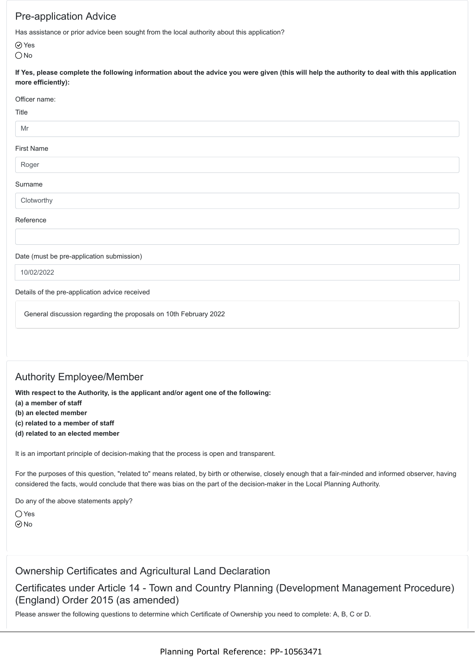# Pre-application Advice

Has assistance or prior advice been sought from the local authority about this application?

Yes

O<sub>No</sub>

**If Yes, please complete the following information about the advice you were given (this will help the authority to deal with this application more efficiently):**

#### Officer name:

#### **Title**

### Mr

### First Name

### Roger

### Surname

Clotworthy

### Reference

### Date (must be pre-application submission)

10/02/2022

#### Details of the pre-application advice received

General discussion regarding the proposals on 10th February 2022

# Authority Employee/Member

**With respect to the Authority, is the applicant and/or agent one of the following:**

**(a) a member of staff**

**(b) an elected member**

**(c) related to a member of staff**

**(d) related to an elected member**

It is an important principle of decision-making that the process is open and transparent.

For the purposes of this question, "related to" means related, by birth or otherwise, closely enough that a fair-minded and informed observer, having considered the facts, would conclude that there was bias on the part of the decision-maker in the Local Planning Authority.

Do any of the above statements apply?

 $\bigcirc$  Yes  $\odot$ No

### Ownership Certificates and Agricultural Land Declaration

Certificates under Article 14 - Town and Country Planning (Development Management Procedure) (England) Order 2015 (as amended)

Please answer the following questions to determine which Certificate of Ownership you need to complete: A, B, C or D.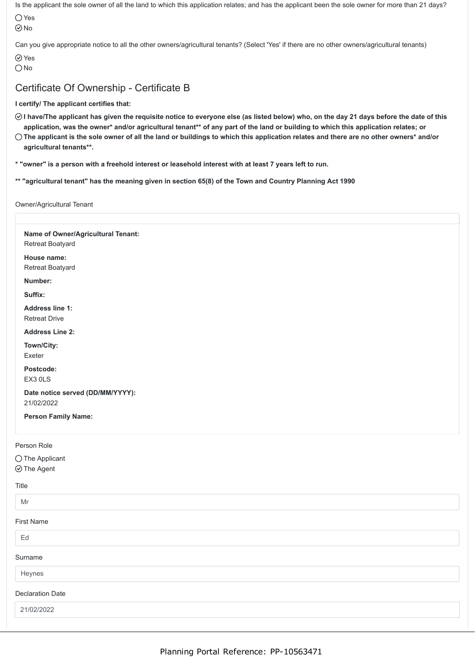Is the applicant the sole owner of all the land to which this application relates; and has the applicant been the sole owner for more than 21 days?

Yes No

Can you give appropriate notice to all the other owners/agricultural tenants? (Select 'Yes' if there are no other owners/agricultural tenants)

**⊘**Yes

O<sub>No</sub>

# Certificate Of Ownership - Certificate B

### **I certify/ The applicant certifies that:**

- **I have/The applicant has given the requisite notice to everyone else (as listed below) who, on the day 21 days before the date of this application, was the owner\* and/or agricultural tenant\*\* of any part of the land or building to which this application relates; or**
- **The applicant is the sole owner of all the land or buildings to which this application relates and there are no other owners\* and/or agricultural tenants\*\*.**
- **\* "owner" is a person with a freehold interest or leasehold interest with at least 7 years left to run.**
- **\*\* "agricultural tenant" has the meaning given in section 65(8) of the Town and Country Planning Act 1990**

#### Owner/Agricultural Tenant

| Name of Owner/Agricultural Tenant: |  |
|------------------------------------|--|
| Retreat Boatyard                   |  |
| House name:                        |  |
| Retreat Boatyard                   |  |
| Number:                            |  |
| Suffix:                            |  |
| <b>Address line 1:</b>             |  |
| <b>Retreat Drive</b>               |  |
| <b>Address Line 2:</b>             |  |
| Town/City:                         |  |
| Exeter                             |  |
| Postcode:                          |  |
| EX3 OLS                            |  |
| Date notice served (DD/MM/YYYY):   |  |
| 21/02/2022                         |  |
| <b>Person Family Name:</b>         |  |
| Person Role                        |  |
| $\bigcirc$ The Applicant           |  |
| $\odot$ The Agent                  |  |
| Title                              |  |
| Mr                                 |  |
| <b>First Name</b>                  |  |
| Ed                                 |  |
| Surname                            |  |
| Heynes                             |  |
| <b>Declaration Date</b>            |  |
| 21/02/2022                         |  |
|                                    |  |